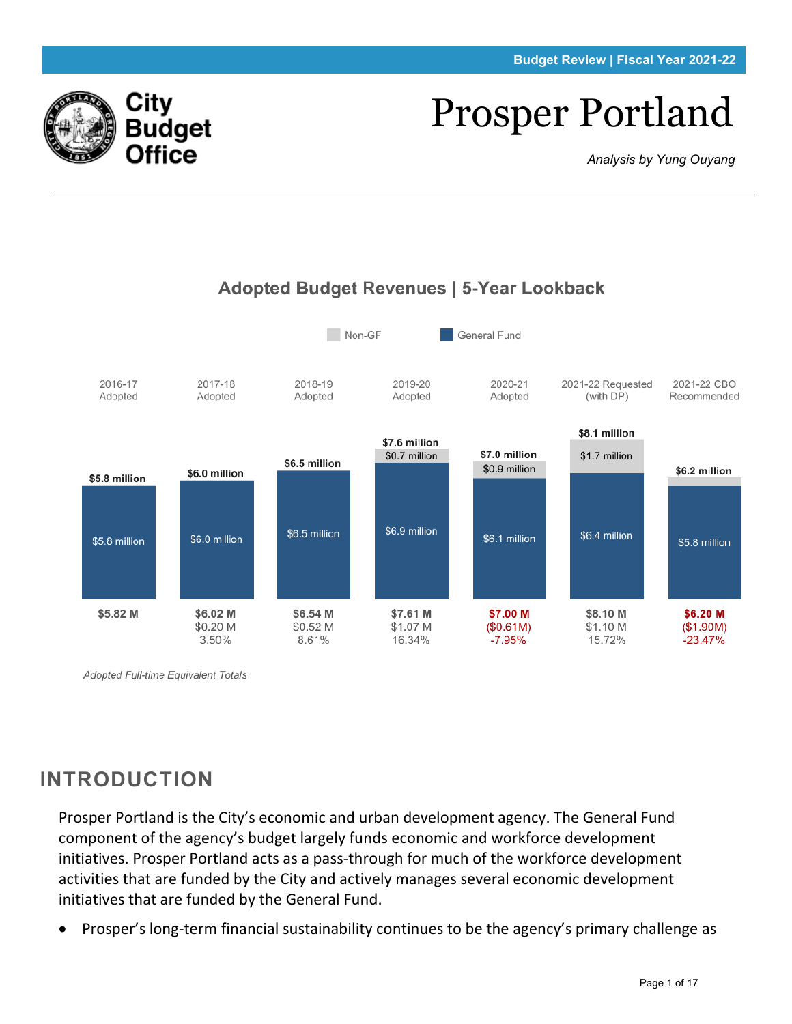#### **Budget Review | Fiscal Year 2021-22**

# Prosper Portland

*Analysis by Yung Ouyang*



Adopted Full-time Equivalent Totals

# **INTRODUCTION**

Prosper Portland is the City's economic and urban development agency. The General Fund component of the agency's budget largely funds economic and workforce development initiatives. Prosper Portland acts as a pass-through for much of the workforce development activities that are funded by the City and actively manages several economic development initiatives that are funded by the General Fund.

• Prosper's long-term financial sustainability continues to be the agency's primary challenge as



## Adopted Budget Revenues | 5-Year Lookback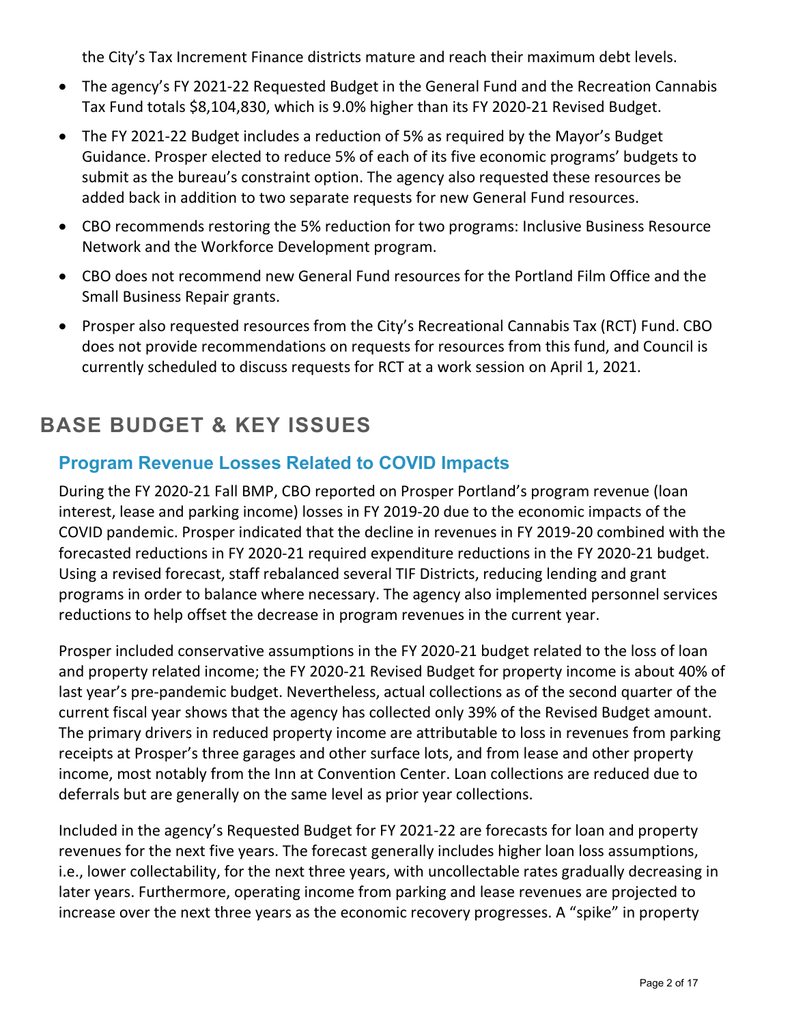the City's Tax Increment Finance districts mature and reach their maximum debt levels.

- The agency's FY 2021-22 Requested Budget in the General Fund and the Recreation Cannabis Tax Fund totals \$8,104,830, which is 9.0% higher than its FY 2020-21 Revised Budget.
- The FY 2021-22 Budget includes a reduction of 5% as required by the Mayor's Budget Guidance. Prosper elected to reduce 5% of each of its five economic programs' budgets to submit as the bureau's constraint option. The agency also requested these resources be added back in addition to two separate requests for new General Fund resources.
- CBO recommends restoring the 5% reduction for two programs: Inclusive Business Resource Network and the Workforce Development program.
- CBO does not recommend new General Fund resources for the Portland Film Office and the Small Business Repair grants.
- Prosper also requested resources from the City's Recreational Cannabis Tax (RCT) Fund. CBO does not provide recommendations on requests for resources from this fund, and Council is currently scheduled to discuss requests for RCT at a work session on April 1, 2021.

# **BASE BUDGET & KEY ISSUES**

## **Program Revenue Losses Related to COVID Impacts**

During the FY 2020-21 Fall BMP, CBO reported on Prosper Portland's program revenue (loan interest, lease and parking income) losses in FY 2019-20 due to the economic impacts of the COVID pandemic. Prosper indicated that the decline in revenues in FY 2019-20 combined with the forecasted reductions in FY 2020-21 required expenditure reductions in the FY 2020-21 budget. Using a revised forecast, staff rebalanced several TIF Districts, reducing lending and grant programs in order to balance where necessary. The agency also implemented personnel services reductions to help offset the decrease in program revenues in the current year.

Prosper included conservative assumptions in the FY 2020-21 budget related to the loss of loan and property related income; the FY 2020-21 Revised Budget for property income is about 40% of last year's pre-pandemic budget. Nevertheless, actual collections as of the second quarter of the current fiscal year shows that the agency has collected only 39% of the Revised Budget amount. The primary drivers in reduced property income are attributable to loss in revenues from parking receipts at Prosper's three garages and other surface lots, and from lease and other property income, most notably from the Inn at Convention Center. Loan collections are reduced due to deferrals but are generally on the same level as prior year collections.

Included in the agency's Requested Budget for FY 2021-22 are forecasts for loan and property revenues for the next five years. The forecast generally includes higher loan loss assumptions, i.e., lower collectability, for the next three years, with uncollectable rates gradually decreasing in later years. Furthermore, operating income from parking and lease revenues are projected to increase over the next three years as the economic recovery progresses. A "spike" in property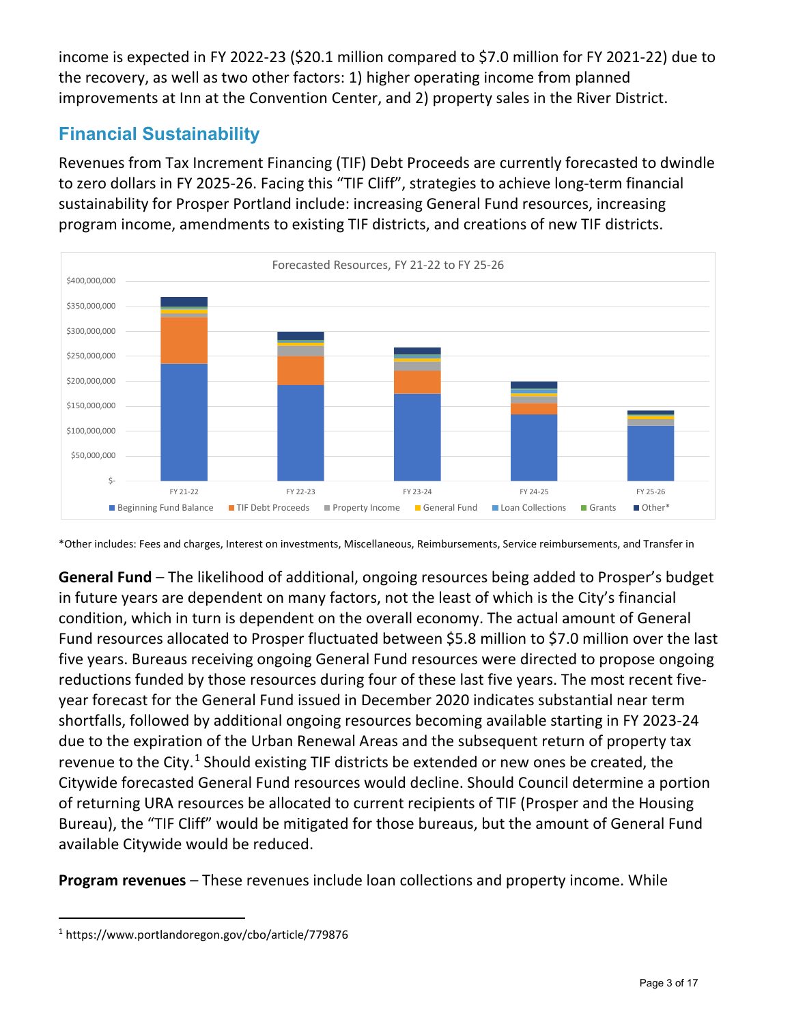income is expected in FY 2022-23 (\$20.1 million compared to \$7.0 million for FY 2021-22) due to the recovery, as well as two other factors: 1) higher operating income from planned improvements at Inn at the Convention Center, and 2) property sales in the River District.

## **Financial Sustainability**

Revenues from Tax Increment Financing (TIF) Debt Proceeds are currently forecasted to dwindle to zero dollars in FY 2025-26. Facing this "TIF Cliff", strategies to achieve long-term financial sustainability for Prosper Portland include: increasing General Fund resources, increasing program income, amendments to existing TIF districts, and creations of new TIF districts.



<sup>\*</sup>Other includes: Fees and charges, Interest on investments, Miscellaneous, Reimbursements, Service reimbursements, and Transfer in

**General Fund** – The likelihood of additional, ongoing resources being added to Prosper's budget in future years are dependent on many factors, not the least of which is the City's financial condition, which in turn is dependent on the overall economy. The actual amount of General Fund resources allocated to Prosper fluctuated between \$5.8 million to \$7.0 million over the last five years. Bureaus receiving ongoing General Fund resources were directed to propose ongoing reductions funded by those resources during four of these last five years. The most recent fiveyear forecast for the General Fund issued in December 2020 indicates substantial near term shortfalls, followed by additional ongoing resources becoming available starting in FY 2023-24 due to the expiration of the Urban Renewal Areas and the subsequent return of property tax revenue to the City.<sup>[1](#page-2-0)</sup> Should existing TIF districts be extended or new ones be created, the Citywide forecasted General Fund resources would decline. Should Council determine a portion of returning URA resources be allocated to current recipients of TIF (Prosper and the Housing Bureau), the "TIF Cliff" would be mitigated for those bureaus, but the amount of General Fund available Citywide would be reduced.

**Program revenues** – These revenues include loan collections and property income. While

<span id="page-2-0"></span><sup>1</sup> https://www.portlandoregon.gov/cbo/article/779876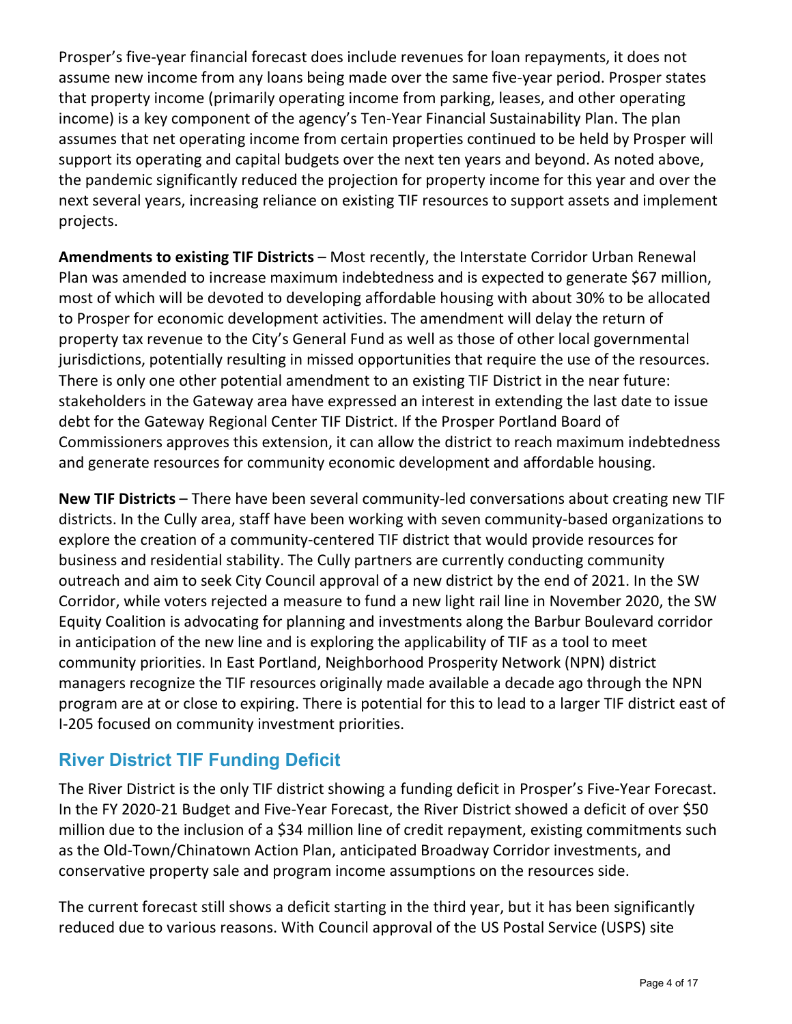Prosper's five-year financial forecast does include revenues for loan repayments, it does not assume new income from any loans being made over the same five-year period. Prosper states that property income (primarily operating income from parking, leases, and other operating income) is a key component of the agency's Ten-Year Financial Sustainability Plan. The plan assumes that net operating income from certain properties continued to be held by Prosper will support its operating and capital budgets over the next ten years and beyond. As noted above, the pandemic significantly reduced the projection for property income for this year and over the next several years, increasing reliance on existing TIF resources to support assets and implement projects.

**Amendments to existing TIF Districts** – Most recently, the Interstate Corridor Urban Renewal Plan was amended to increase maximum indebtedness and is expected to generate \$67 million, most of which will be devoted to developing affordable housing with about 30% to be allocated to Prosper for economic development activities. The amendment will delay the return of property tax revenue to the City's General Fund as well as those of other local governmental jurisdictions, potentially resulting in missed opportunities that require the use of the resources. There is only one other potential amendment to an existing TIF District in the near future: stakeholders in the Gateway area have expressed an interest in extending the last date to issue debt for the Gateway Regional Center TIF District. If the Prosper Portland Board of Commissioners approves this extension, it can allow the district to reach maximum indebtedness and generate resources for community economic development and affordable housing.

**New TIF Districts** – There have been several community-led conversations about creating new TIF districts. In the Cully area, staff have been working with seven community-based organizations to explore the creation of a community-centered TIF district that would provide resources for business and residential stability. The Cully partners are currently conducting community outreach and aim to seek City Council approval of a new district by the end of 2021. In the SW Corridor, while voters rejected a measure to fund a new light rail line in November 2020, the SW Equity Coalition is advocating for planning and investments along the Barbur Boulevard corridor in anticipation of the new line and is exploring the applicability of TIF as a tool to meet community priorities. In East Portland, Neighborhood Prosperity Network (NPN) district managers recognize the TIF resources originally made available a decade ago through the NPN program are at or close to expiring. There is potential for this to lead to a larger TIF district east of I-205 focused on community investment priorities.

## **River District TIF Funding Deficit**

The River District is the only TIF district showing a funding deficit in Prosper's Five-Year Forecast. In the FY 2020-21 Budget and Five-Year Forecast, the River District showed a deficit of over \$50 million due to the inclusion of a \$34 million line of credit repayment, existing commitments such as the Old-Town/Chinatown Action Plan, anticipated Broadway Corridor investments, and conservative property sale and program income assumptions on the resources side.

The current forecast still shows a deficit starting in the third year, but it has been significantly reduced due to various reasons. With Council approval of the US Postal Service (USPS) site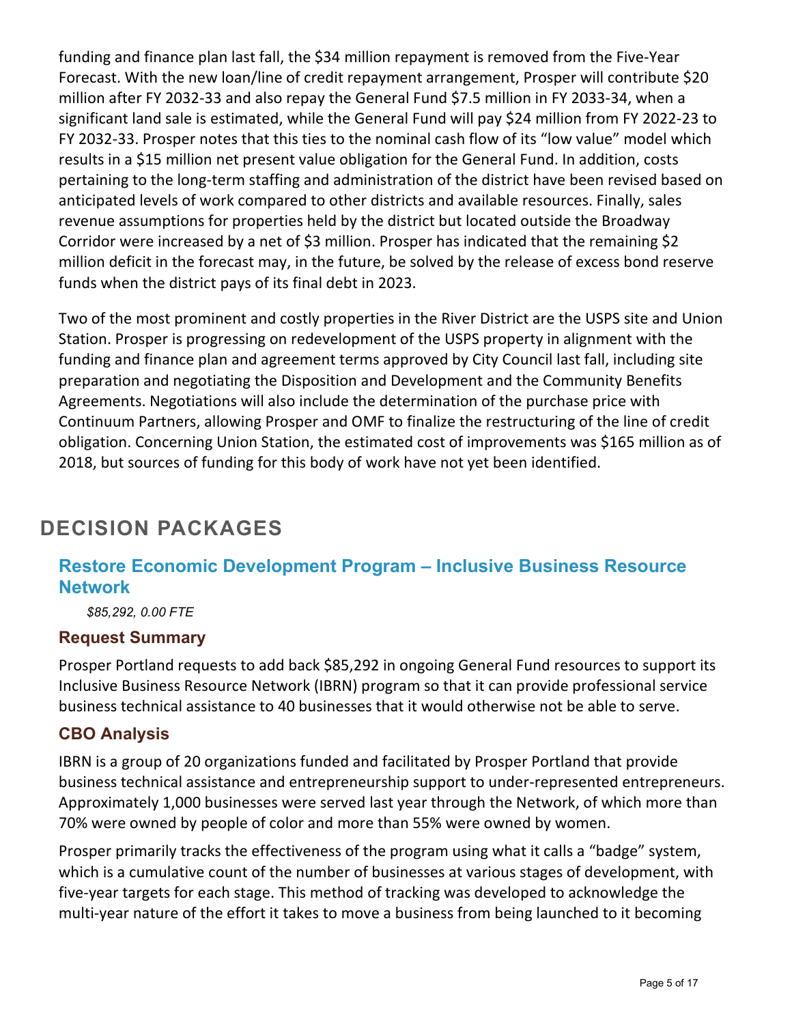funding and finance plan last fall, the \$34 million repayment is removed from the Five-Year Forecast. With the new loan/line of credit repayment arrangement, Prosper will contribute \$20 million after FY 2032-33 and also repay the General Fund \$7.5 million in FY 2033-34, when a significant land sale is estimated, while the General Fund will pay \$24 million from FY 2022-23 to FY 2032-33. Prosper notes that this ties to the nominal cash flow of its "low value" model which results in a \$15 million net present value obligation for the General Fund. In addition, costs pertaining to the long-term staffing and administration of the district have been revised based on anticipated levels of work compared to other districts and available resources. Finally, sales revenue assumptions for properties held by the district but located outside the Broadway Corridor were increased by a net of \$3 million. Prosper has indicated that the remaining \$2 million deficit in the forecast may, in the future, be solved by the release of excess bond reserve funds when the district pays of its final debt in 2023.

Two of the most prominent and costly properties in the River District are the USPS site and Union Station. Prosper is progressing on redevelopment of the USPS property in alignment with the funding and finance plan and agreement terms approved by City Council last fall, including site preparation and negotiating the Disposition and Development and the Community Benefits Agreements. Negotiations will also include the determination of the purchase price with Continuum Partners, allowing Prosper and OMF to finalize the restructuring of the line of credit obligation. Concerning Union Station, the estimated cost of improvements was \$165 million as of 2018, but sources of funding for this body of work have not yet been identified.

# **DECISION PACKAGES**

## **Restore Economic Development Program – Inclusive Business Resource Network**

*\$85,292, 0.00 FTE*

#### **Request Summary**

Prosper Portland requests to add back \$85,292 in ongoing General Fund resources to support its Inclusive Business Resource Network (IBRN) program so that it can provide professional service business technical assistance to 40 businesses that it would otherwise not be able to serve.

#### **CBO Analysis**

IBRN is a group of 20 organizations funded and facilitated by Prosper Portland that provide business technical assistance and entrepreneurship support to under-represented entrepreneurs. Approximately 1,000 businesses were served last year through the Network, of which more than 70% were owned by people of color and more than 55% were owned by women.

Prosper primarily tracks the effectiveness of the program using what it calls a "badge" system, which is a cumulative count of the number of businesses at various stages of development, with five-year targets for each stage. This method of tracking was developed to acknowledge the multi-year nature of the effort it takes to move a business from being launched to it becoming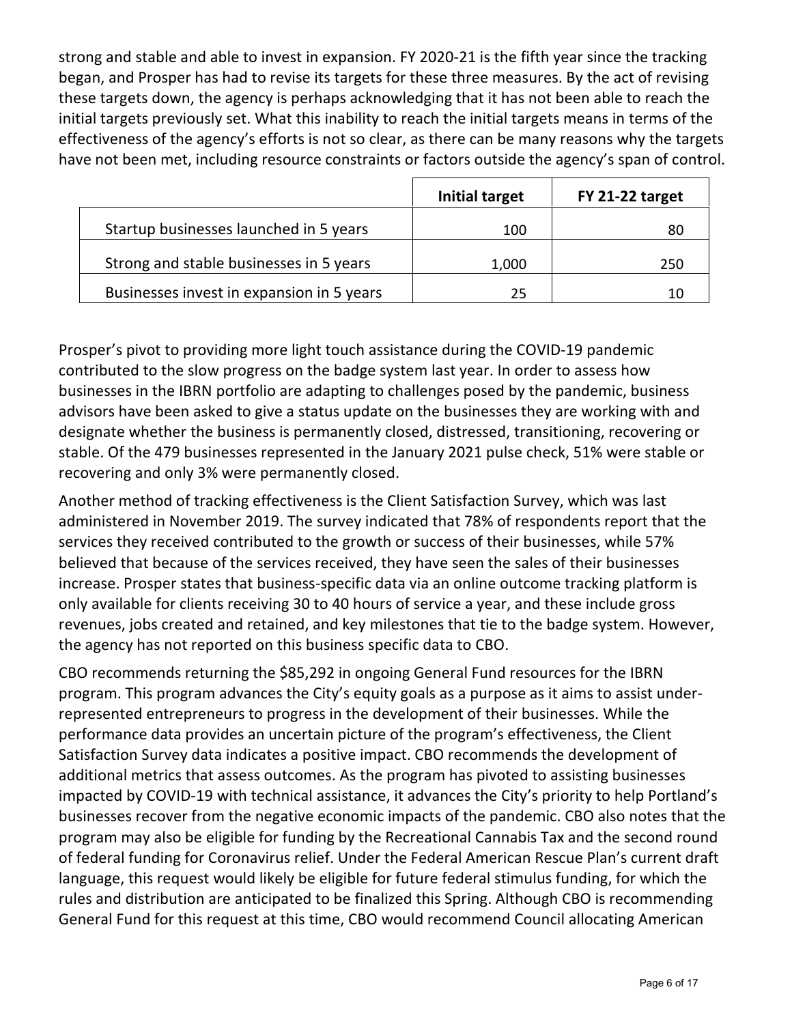strong and stable and able to invest in expansion. FY 2020-21 is the fifth year since the tracking began, and Prosper has had to revise its targets for these three measures. By the act of revising these targets down, the agency is perhaps acknowledging that it has not been able to reach the initial targets previously set. What this inability to reach the initial targets means in terms of the effectiveness of the agency's efforts is not so clear, as there can be many reasons why the targets have not been met, including resource constraints or factors outside the agency's span of control.

|                                           | Initial target | FY 21-22 target |
|-------------------------------------------|----------------|-----------------|
| Startup businesses launched in 5 years    | 100            | 80              |
| Strong and stable businesses in 5 years   | 1,000          | 250             |
| Businesses invest in expansion in 5 years | 25             | 10              |

Prosper's pivot to providing more light touch assistance during the COVID-19 pandemic contributed to the slow progress on the badge system last year. In order to assess how businesses in the IBRN portfolio are adapting to challenges posed by the pandemic, business advisors have been asked to give a status update on the businesses they are working with and designate whether the business is permanently closed, distressed, transitioning, recovering or stable. Of the 479 businesses represented in the January 2021 pulse check, 51% were stable or recovering and only 3% were permanently closed.

Another method of tracking effectiveness is the Client Satisfaction Survey, which was last administered in November 2019. The survey indicated that 78% of respondents report that the services they received contributed to the growth or success of their businesses, while 57% believed that because of the services received, they have seen the sales of their businesses increase. Prosper states that business-specific data via an online outcome tracking platform is only available for clients receiving 30 to 40 hours of service a year, and these include gross revenues, jobs created and retained, and key milestones that tie to the badge system. However, the agency has not reported on this business specific data to CBO.

CBO recommends returning the \$85,292 in ongoing General Fund resources for the IBRN program. This program advances the City's equity goals as a purpose as it aims to assist underrepresented entrepreneurs to progress in the development of their businesses. While the performance data provides an uncertain picture of the program's effectiveness, the Client Satisfaction Survey data indicates a positive impact. CBO recommends the development of additional metrics that assess outcomes. As the program has pivoted to assisting businesses impacted by COVID-19 with technical assistance, it advances the City's priority to help Portland's businesses recover from the negative economic impacts of the pandemic. CBO also notes that the program may also be eligible for funding by the Recreational Cannabis Tax and the second round of federal funding for Coronavirus relief. Under the Federal American Rescue Plan's current draft language, this request would likely be eligible for future federal stimulus funding, for which the rules and distribution are anticipated to be finalized this Spring. Although CBO is recommending General Fund for this request at this time, CBO would recommend Council allocating American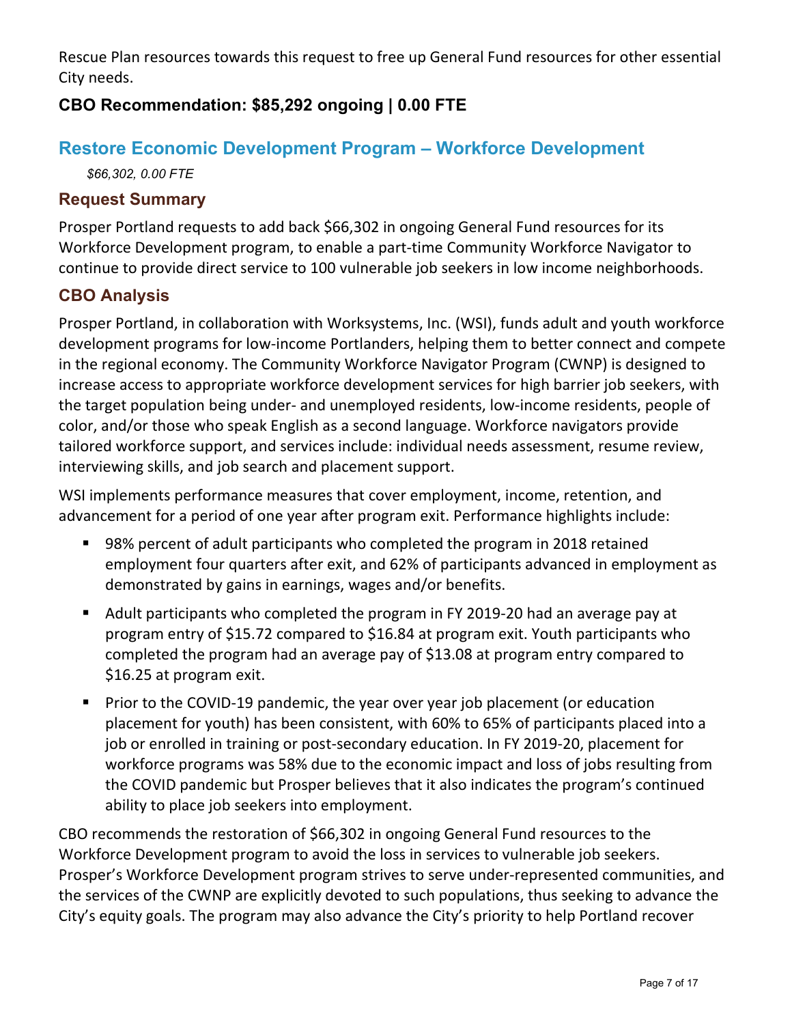Rescue Plan resources towards this request to free up General Fund resources for other essential City needs.

## **CBO Recommendation: \$85,292 ongoing | 0.00 FTE**

## **Restore Economic Development Program – Workforce Development**

*\$66,302, 0.00 FTE*

## **Request Summary**

Prosper Portland requests to add back \$66,302 in ongoing General Fund resources for its Workforce Development program, to enable a part-time Community Workforce Navigator to continue to provide direct service to 100 vulnerable job seekers in low income neighborhoods.

## **CBO Analysis**

Prosper Portland, in collaboration with Worksystems, Inc. (WSI), funds adult and youth workforce development programs for low-income Portlanders, helping them to better connect and compete in the regional economy. The Community Workforce Navigator Program (CWNP) is designed to increase access to appropriate workforce development services for high barrier job seekers, with the target population being under- and unemployed residents, low-income residents, people of color, and/or those who speak English as a second language. Workforce navigators provide tailored workforce support, and services include: individual needs assessment, resume review, interviewing skills, and job search and placement support.

WSI implements performance measures that cover employment, income, retention, and advancement for a period of one year after program exit. Performance highlights include:

- 98% percent of adult participants who completed the program in 2018 retained employment four quarters after exit, and 62% of participants advanced in employment as demonstrated by gains in earnings, wages and/or benefits.
- Adult participants who completed the program in FY 2019-20 had an average pay at program entry of \$15.72 compared to \$16.84 at program exit. Youth participants who completed the program had an average pay of \$13.08 at program entry compared to \$16.25 at program exit.
- **Prior to the COVID-19 pandemic, the year over year job placement (or education** placement for youth) has been consistent, with 60% to 65% of participants placed into a job or enrolled in training or post-secondary education. In FY 2019-20, placement for workforce programs was 58% due to the economic impact and loss of jobs resulting from the COVID pandemic but Prosper believes that it also indicates the program's continued ability to place job seekers into employment.

CBO recommends the restoration of \$66,302 in ongoing General Fund resources to the Workforce Development program to avoid the loss in services to vulnerable job seekers. Prosper's Workforce Development program strives to serve under-represented communities, and the services of the CWNP are explicitly devoted to such populations, thus seeking to advance the City's equity goals. The program may also advance the City's priority to help Portland recover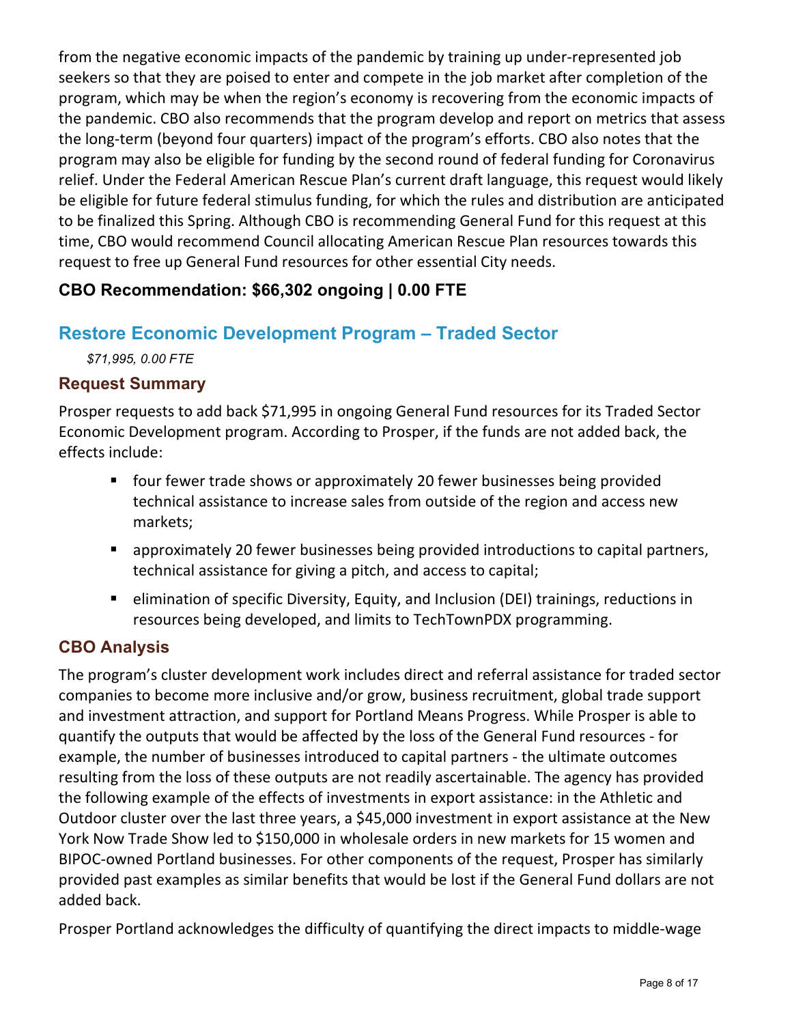from the negative economic impacts of the pandemic by training up under-represented job seekers so that they are poised to enter and compete in the job market after completion of the program, which may be when the region's economy is recovering from the economic impacts of the pandemic. CBO also recommends that the program develop and report on metrics that assess the long-term (beyond four quarters) impact of the program's efforts. CBO also notes that the program may also be eligible for funding by the second round of federal funding for Coronavirus relief. Under the Federal American Rescue Plan's current draft language, this request would likely be eligible for future federal stimulus funding, for which the rules and distribution are anticipated to be finalized this Spring. Although CBO is recommending General Fund for this request at this time, CBO would recommend Council allocating American Rescue Plan resources towards this request to free up General Fund resources for other essential City needs.

## **CBO Recommendation: \$66,302 ongoing | 0.00 FTE**

## **Restore Economic Development Program – Traded Sector**

*\$71,995, 0.00 FTE*

#### **Request Summary**

Prosper requests to add back \$71,995 in ongoing General Fund resources for its Traded Sector Economic Development program. According to Prosper, if the funds are not added back, the effects include:

- **F** four fewer trade shows or approximately 20 fewer businesses being provided technical assistance to increase sales from outside of the region and access new markets;
- approximately 20 fewer businesses being provided introductions to capital partners, technical assistance for giving a pitch, and access to capital;
- elimination of specific Diversity, Equity, and Inclusion (DEI) trainings, reductions in resources being developed, and limits to TechTownPDX programming.

## **CBO Analysis**

The program's cluster development work includes direct and referral assistance for traded sector companies to become more inclusive and/or grow, business recruitment, global trade support and investment attraction, and support for Portland Means Progress. While Prosper is able to quantify the outputs that would be affected by the loss of the General Fund resources - for example, the number of businesses introduced to capital partners - the ultimate outcomes resulting from the loss of these outputs are not readily ascertainable. The agency has provided the following example of the effects of investments in export assistance: in the Athletic and Outdoor cluster over the last three years, a \$45,000 investment in export assistance at the New York Now Trade Show led to \$150,000 in wholesale orders in new markets for 15 women and BIPOC-owned Portland businesses. For other components of the request, Prosper has similarly provided past examples as similar benefits that would be lost if the General Fund dollars are not added back.

Prosper Portland acknowledges the difficulty of quantifying the direct impacts to middle-wage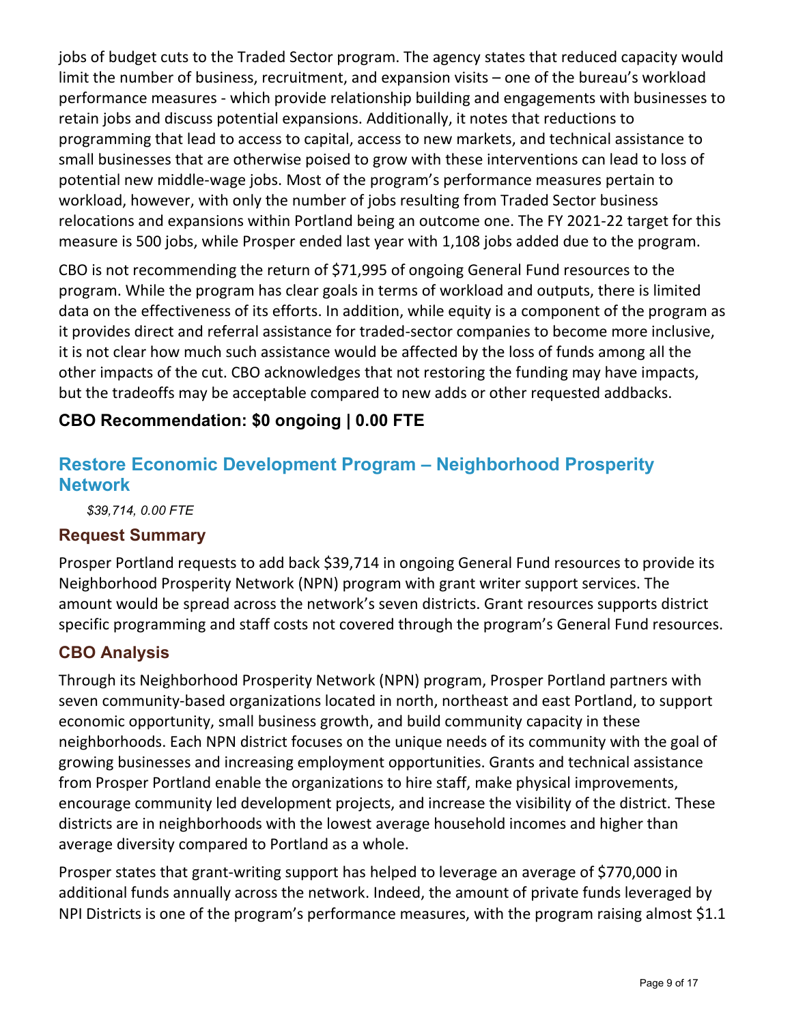jobs of budget cuts to the Traded Sector program. The agency states that reduced capacity would limit the number of business, recruitment, and expansion visits – one of the bureau's workload performance measures - which provide relationship building and engagements with businesses to retain jobs and discuss potential expansions. Additionally, it notes that reductions to programming that lead to access to capital, access to new markets, and technical assistance to small businesses that are otherwise poised to grow with these interventions can lead to loss of potential new middle-wage jobs. Most of the program's performance measures pertain to workload, however, with only the number of jobs resulting from Traded Sector business relocations and expansions within Portland being an outcome one. The FY 2021-22 target for this measure is 500 jobs, while Prosper ended last year with 1,108 jobs added due to the program.

CBO is not recommending the return of \$71,995 of ongoing General Fund resources to the program. While the program has clear goals in terms of workload and outputs, there is limited data on the effectiveness of its efforts. In addition, while equity is a component of the program as it provides direct and referral assistance for traded-sector companies to become more inclusive, it is not clear how much such assistance would be affected by the loss of funds among all the other impacts of the cut. CBO acknowledges that not restoring the funding may have impacts, but the tradeoffs may be acceptable compared to new adds or other requested addbacks.

## **CBO Recommendation: \$0 ongoing | 0.00 FTE**

## **Restore Economic Development Program – Neighborhood Prosperity Network**

*\$39,714, 0.00 FTE*

#### **Request Summary**

Prosper Portland requests to add back \$39,714 in ongoing General Fund resources to provide its Neighborhood Prosperity Network (NPN) program with grant writer support services. The amount would be spread across the network's seven districts. Grant resources supports district specific programming and staff costs not covered through the program's General Fund resources.

#### **CBO Analysis**

Through its Neighborhood Prosperity Network (NPN) program, Prosper Portland partners with seven community-based organizations located in north, northeast and east Portland, to support economic opportunity, small business growth, and build community capacity in these neighborhoods. Each NPN district focuses on the unique needs of its community with the goal of growing businesses and increasing employment opportunities. Grants and technical assistance from Prosper Portland enable the organizations to hire staff, make physical improvements, encourage community led development projects, and increase the visibility of the district. These districts are in neighborhoods with the lowest average household incomes and higher than average diversity compared to Portland as a whole.

Prosper states that grant-writing support has helped to leverage an average of \$770,000 in additional funds annually across the network. Indeed, the amount of private funds leveraged by NPI Districts is one of the program's performance measures, with the program raising almost \$1.1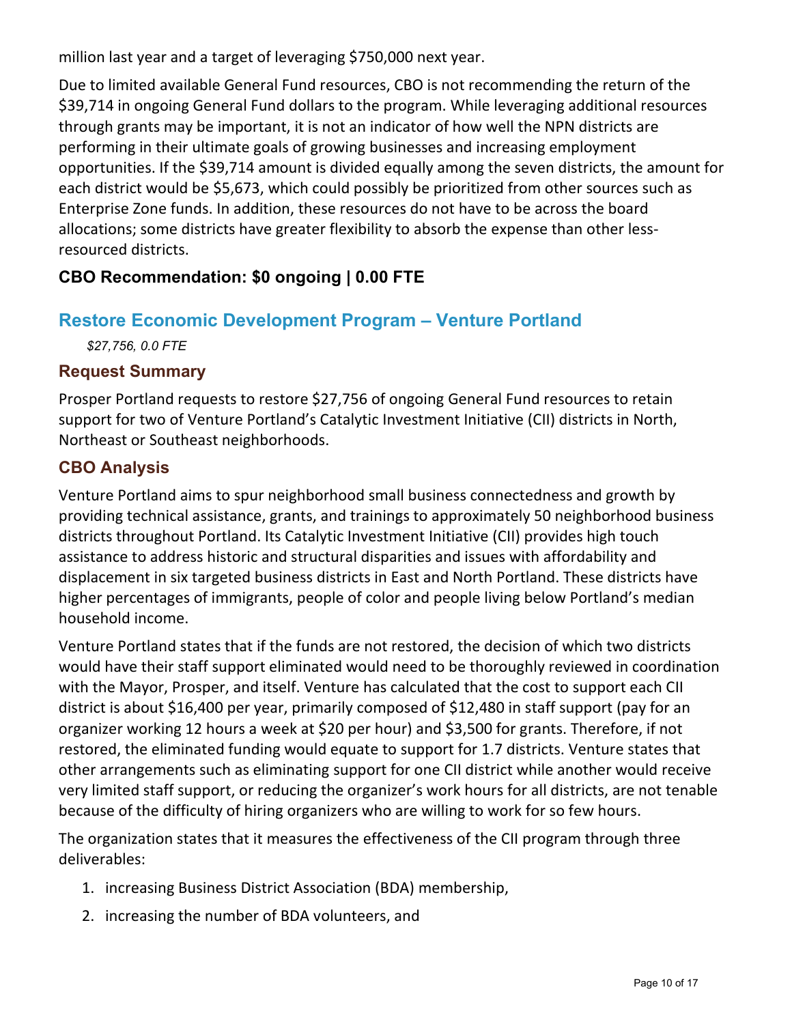million last year and a target of leveraging \$750,000 next year.

Due to limited available General Fund resources, CBO is not recommending the return of the \$39,714 in ongoing General Fund dollars to the program. While leveraging additional resources through grants may be important, it is not an indicator of how well the NPN districts are performing in their ultimate goals of growing businesses and increasing employment opportunities. If the \$39,714 amount is divided equally among the seven districts, the amount for each district would be \$5,673, which could possibly be prioritized from other sources such as Enterprise Zone funds. In addition, these resources do not have to be across the board allocations; some districts have greater flexibility to absorb the expense than other lessresourced districts.

## **CBO Recommendation: \$0 ongoing | 0.00 FTE**

## **Restore Economic Development Program – Venture Portland**

*\$27,756, 0.0 FTE*

#### **Request Summary**

Prosper Portland requests to restore \$27,756 of ongoing General Fund resources to retain support for two of Venture Portland's Catalytic Investment Initiative (CII) districts in North, Northeast or Southeast neighborhoods.

#### **CBO Analysis**

Venture Portland aims to spur neighborhood small business connectedness and growth by providing technical assistance, grants, and trainings to approximately 50 neighborhood business districts throughout Portland. Its Catalytic Investment Initiative (CII) provides high touch assistance to address historic and structural disparities and issues with affordability and displacement in six targeted business districts in East and North Portland. These districts have higher percentages of immigrants, people of color and people living below Portland's median household income.

Venture Portland states that if the funds are not restored, the decision of which two districts would have their staff support eliminated would need to be thoroughly reviewed in coordination with the Mayor, Prosper, and itself. Venture has calculated that the cost to support each CII district is about \$16,400 per year, primarily composed of \$12,480 in staff support (pay for an organizer working 12 hours a week at \$20 per hour) and \$3,500 for grants. Therefore, if not restored, the eliminated funding would equate to support for 1.7 districts. Venture states that other arrangements such as eliminating support for one CII district while another would receive very limited staff support, or reducing the organizer's work hours for all districts, are not tenable because of the difficulty of hiring organizers who are willing to work for so few hours.

The organization states that it measures the effectiveness of the CII program through three deliverables:

- 1. increasing Business District Association (BDA) membership,
- 2. increasing the number of BDA volunteers, and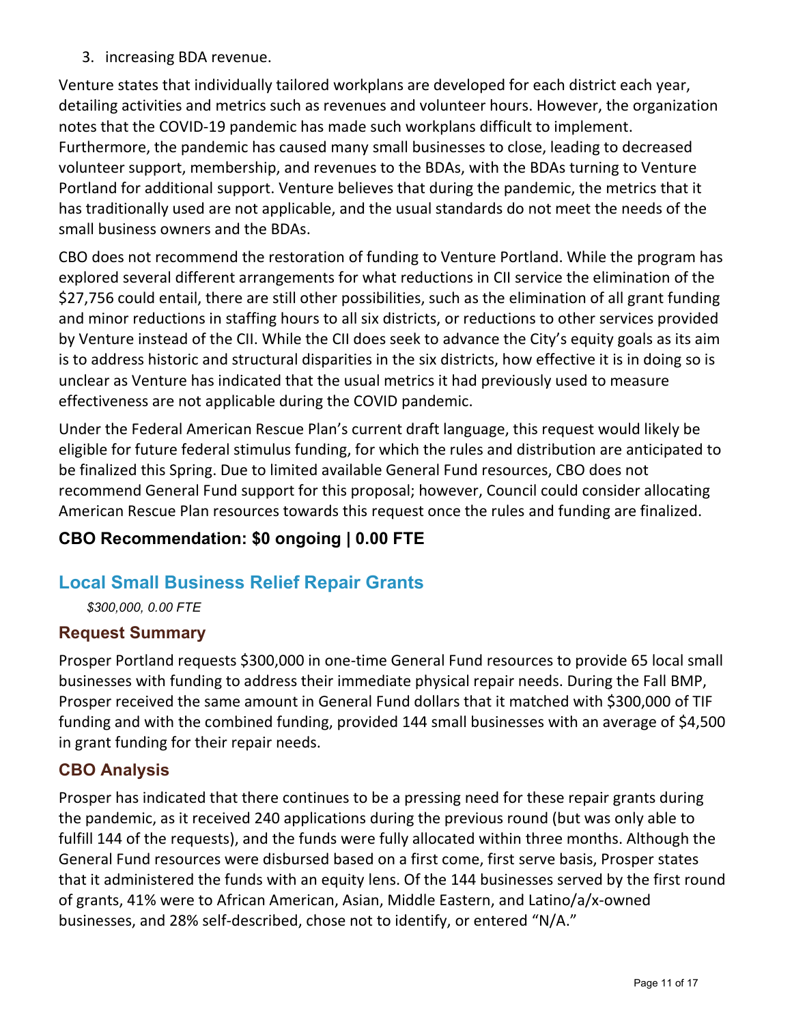3. increasing BDA revenue.

Venture states that individually tailored workplans are developed for each district each year, detailing activities and metrics such as revenues and volunteer hours. However, the organization notes that the COVID-19 pandemic has made such workplans difficult to implement. Furthermore, the pandemic has caused many small businesses to close, leading to decreased volunteer support, membership, and revenues to the BDAs, with the BDAs turning to Venture Portland for additional support. Venture believes that during the pandemic, the metrics that it has traditionally used are not applicable, and the usual standards do not meet the needs of the small business owners and the BDAs.

CBO does not recommend the restoration of funding to Venture Portland. While the program has explored several different arrangements for what reductions in CII service the elimination of the \$27,756 could entail, there are still other possibilities, such as the elimination of all grant funding and minor reductions in staffing hours to all six districts, or reductions to other services provided by Venture instead of the CII. While the CII does seek to advance the City's equity goals as its aim is to address historic and structural disparities in the six districts, how effective it is in doing so is unclear as Venture has indicated that the usual metrics it had previously used to measure effectiveness are not applicable during the COVID pandemic.

Under the Federal American Rescue Plan's current draft language, this request would likely be eligible for future federal stimulus funding, for which the rules and distribution are anticipated to be finalized this Spring. Due to limited available General Fund resources, CBO does not recommend General Fund support for this proposal; however, Council could consider allocating American Rescue Plan resources towards this request once the rules and funding are finalized.

## **CBO Recommendation: \$0 ongoing | 0.00 FTE**

## **Local Small Business Relief Repair Grants**

*\$300,000, 0.00 FTE*

#### **Request Summary**

Prosper Portland requests \$300,000 in one-time General Fund resources to provide 65 local small businesses with funding to address their immediate physical repair needs. During the Fall BMP, Prosper received the same amount in General Fund dollars that it matched with \$300,000 of TIF funding and with the combined funding, provided 144 small businesses with an average of \$4,500 in grant funding for their repair needs.

#### **CBO Analysis**

Prosper has indicated that there continues to be a pressing need for these repair grants during the pandemic, as it received 240 applications during the previous round (but was only able to fulfill 144 of the requests), and the funds were fully allocated within three months. Although the General Fund resources were disbursed based on a first come, first serve basis, Prosper states that it administered the funds with an equity lens. Of the 144 businesses served by the first round of grants, 41% were to African American, Asian, Middle Eastern, and Latino/a/x-owned businesses, and 28% self-described, chose not to identify, or entered "N/A."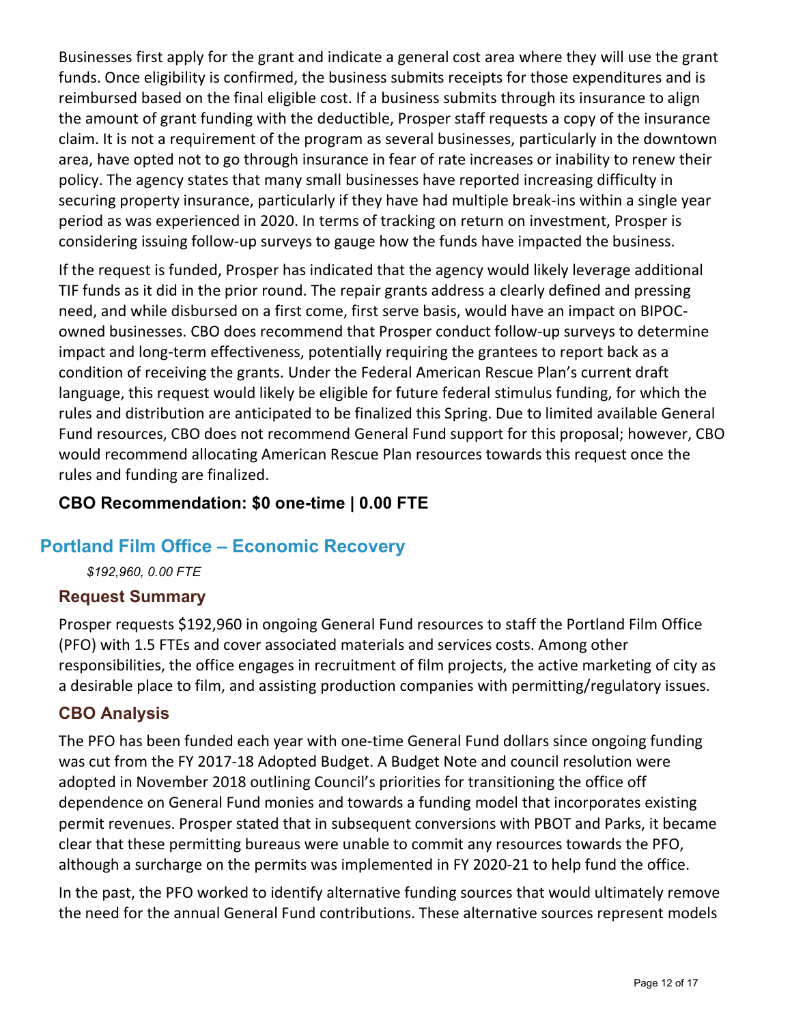Businesses first apply for the grant and indicate a general cost area where they will use the grant funds. Once eligibility is confirmed, the business submits receipts for those expenditures and is reimbursed based on the final eligible cost. If a business submits through its insurance to align the amount of grant funding with the deductible, Prosper staff requests a copy of the insurance claim. It is not a requirement of the program as several businesses, particularly in the downtown area, have opted not to go through insurance in fear of rate increases or inability to renew their policy. The agency states that many small businesses have reported increasing difficulty in securing property insurance, particularly if they have had multiple break-ins within a single year period as was experienced in 2020. In terms of tracking on return on investment, Prosper is considering issuing follow-up surveys to gauge how the funds have impacted the business.

If the request is funded, Prosper has indicated that the agency would likely leverage additional TIF funds as it did in the prior round. The repair grants address a clearly defined and pressing need, and while disbursed on a first come, first serve basis, would have an impact on BIPOCowned businesses. CBO does recommend that Prosper conduct follow-up surveys to determine impact and long-term effectiveness, potentially requiring the grantees to report back as a condition of receiving the grants. Under the Federal American Rescue Plan's current draft language, this request would likely be eligible for future federal stimulus funding, for which the rules and distribution are anticipated to be finalized this Spring. Due to limited available General Fund resources, CBO does not recommend General Fund support for this proposal; however, CBO would recommend allocating American Rescue Plan resources towards this request once the rules and funding are finalized.

#### **CBO Recommendation: \$0 one-time | 0.00 FTE**

## **Portland Film Office – Economic Recovery**

*\$192,960, 0.00 FTE*

#### **Request Summary**

Prosper requests \$192,960 in ongoing General Fund resources to staff the Portland Film Office (PFO) with 1.5 FTEs and cover associated materials and services costs. Among other responsibilities, the office engages in recruitment of film projects, the active marketing of city as a desirable place to film, and assisting production companies with permitting/regulatory issues.

#### **CBO Analysis**

The PFO has been funded each year with one-time General Fund dollars since ongoing funding was cut from the FY 2017-18 Adopted Budget. A Budget Note and council resolution were adopted in November 2018 outlining Council's priorities for transitioning the office off dependence on General Fund monies and towards a funding model that incorporates existing permit revenues. Prosper stated that in subsequent conversions with PBOT and Parks, it became clear that these permitting bureaus were unable to commit any resources towards the PFO, although a surcharge on the permits was implemented in FY 2020-21 to help fund the office.

In the past, the PFO worked to identify alternative funding sources that would ultimately remove the need for the annual General Fund contributions. These alternative sources represent models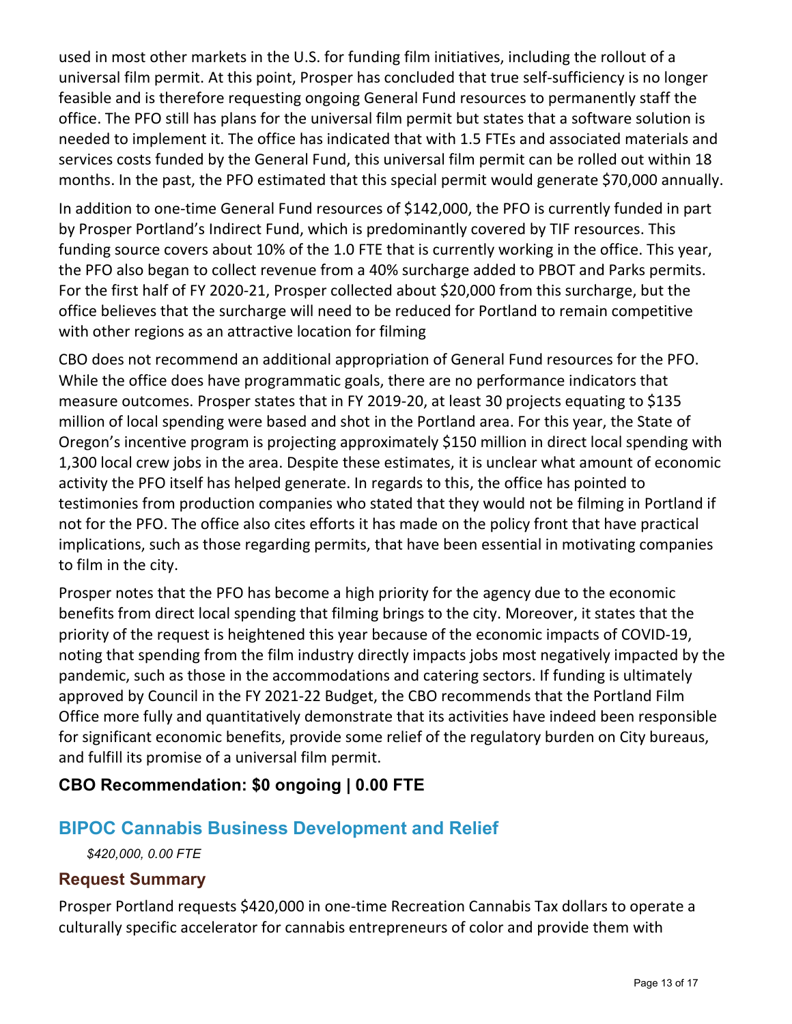used in most other markets in the U.S. for funding film initiatives, including the rollout of a universal film permit. At this point, Prosper has concluded that true self-sufficiency is no longer feasible and is therefore requesting ongoing General Fund resources to permanently staff the office. The PFO still has plans for the universal film permit but states that a software solution is needed to implement it. The office has indicated that with 1.5 FTEs and associated materials and services costs funded by the General Fund, this universal film permit can be rolled out within 18 months. In the past, the PFO estimated that this special permit would generate \$70,000 annually.

In addition to one-time General Fund resources of \$142,000, the PFO is currently funded in part by Prosper Portland's Indirect Fund, which is predominantly covered by TIF resources. This funding source covers about 10% of the 1.0 FTE that is currently working in the office. This year, the PFO also began to collect revenue from a 40% surcharge added to PBOT and Parks permits. For the first half of FY 2020-21, Prosper collected about \$20,000 from this surcharge, but the office believes that the surcharge will need to be reduced for Portland to remain competitive with other regions as an attractive location for filming

CBO does not recommend an additional appropriation of General Fund resources for the PFO. While the office does have programmatic goals, there are no performance indicators that measure outcomes. Prosper states that in FY 2019-20, at least 30 projects equating to \$135 million of local spending were based and shot in the Portland area. For this year, the State of Oregon's incentive program is projecting approximately \$150 million in direct local spending with 1,300 local crew jobs in the area. Despite these estimates, it is unclear what amount of economic activity the PFO itself has helped generate. In regards to this, the office has pointed to testimonies from production companies who stated that they would not be filming in Portland if not for the PFO. The office also cites efforts it has made on the policy front that have practical implications, such as those regarding permits, that have been essential in motivating companies to film in the city.

Prosper notes that the PFO has become a high priority for the agency due to the economic benefits from direct local spending that filming brings to the city. Moreover, it states that the priority of the request is heightened this year because of the economic impacts of COVID-19, noting that spending from the film industry directly impacts jobs most negatively impacted by the pandemic, such as those in the accommodations and catering sectors. If funding is ultimately approved by Council in the FY 2021-22 Budget, the CBO recommends that the Portland Film Office more fully and quantitatively demonstrate that its activities have indeed been responsible for significant economic benefits, provide some relief of the regulatory burden on City bureaus, and fulfill its promise of a universal film permit.

## **CBO Recommendation: \$0 ongoing | 0.00 FTE**

## **BIPOC Cannabis Business Development and Relief**

*\$420,000, 0.00 FTE*

#### **Request Summary**

Prosper Portland requests \$420,000 in one-time Recreation Cannabis Tax dollars to operate a culturally specific accelerator for cannabis entrepreneurs of color and provide them with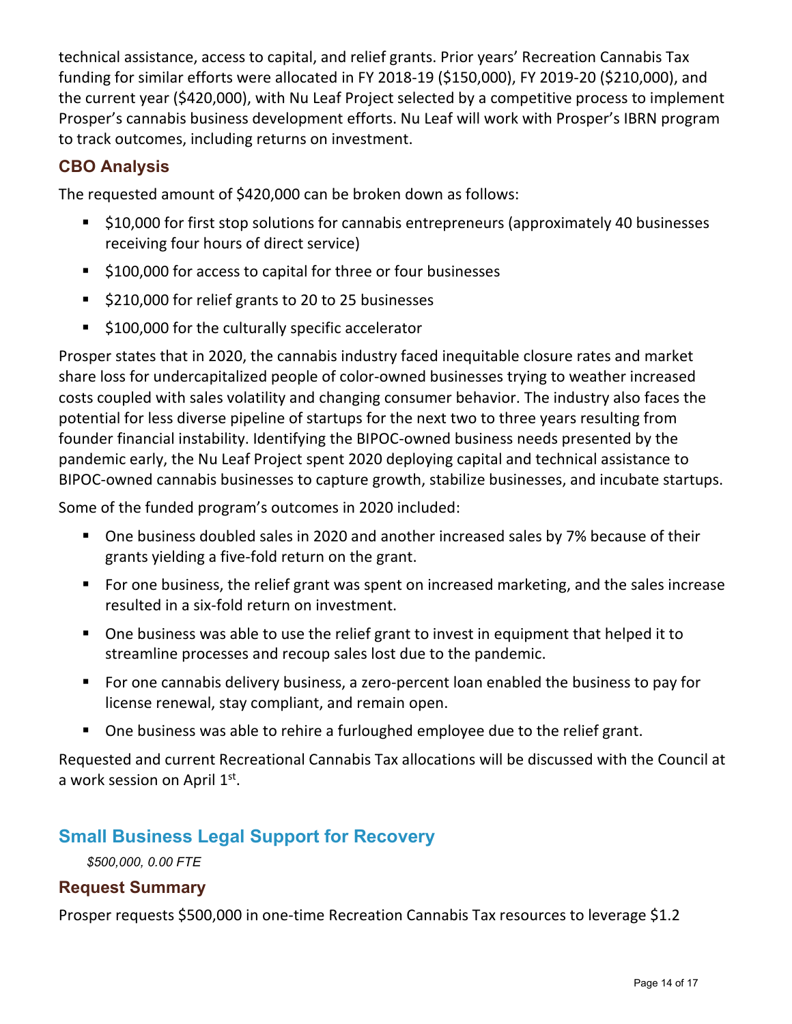technical assistance, access to capital, and relief grants. Prior years' Recreation Cannabis Tax funding for similar efforts were allocated in FY 2018-19 (\$150,000), FY 2019-20 (\$210,000), and the current year (\$420,000), with Nu Leaf Project selected by a competitive process to implement Prosper's cannabis business development efforts. Nu Leaf will work with Prosper's IBRN program to track outcomes, including returns on investment.

## **CBO Analysis**

The requested amount of \$420,000 can be broken down as follows:

- **510,000 for first stop solutions for cannabis entrepreneurs (approximately 40 businesses** receiving four hours of direct service)
- \$100,000 for access to capital for three or four businesses
- \$210,000 for relief grants to 20 to 25 businesses
- **5100,000 for the culturally specific accelerator**

Prosper states that in 2020, the cannabis industry faced inequitable closure rates and market share loss for undercapitalized people of color-owned businesses trying to weather increased costs coupled with sales volatility and changing consumer behavior. The industry also faces the potential for less diverse pipeline of startups for the next two to three years resulting from founder financial instability. Identifying the BIPOC-owned business needs presented by the pandemic early, the Nu Leaf Project spent 2020 deploying capital and technical assistance to BIPOC-owned cannabis businesses to capture growth, stabilize businesses, and incubate startups.

Some of the funded program's outcomes in 2020 included:

- One business doubled sales in 2020 and another increased sales by 7% because of their grants yielding a five-fold return on the grant.
- **For one business, the relief grant was spent on increased marketing, and the sales increase** resulted in a six-fold return on investment.
- One business was able to use the relief grant to invest in equipment that helped it to streamline processes and recoup sales lost due to the pandemic.
- **For one cannabis delivery business, a zero-percent loan enabled the business to pay for** license renewal, stay compliant, and remain open.
- One business was able to rehire a furloughed employee due to the relief grant.

Requested and current Recreational Cannabis Tax allocations will be discussed with the Council at a work session on April 1st.

## **Small Business Legal Support for Recovery**

*\$500,000, 0.00 FTE*

#### **Request Summary**

Prosper requests \$500,000 in one-time Recreation Cannabis Tax resources to leverage \$1.2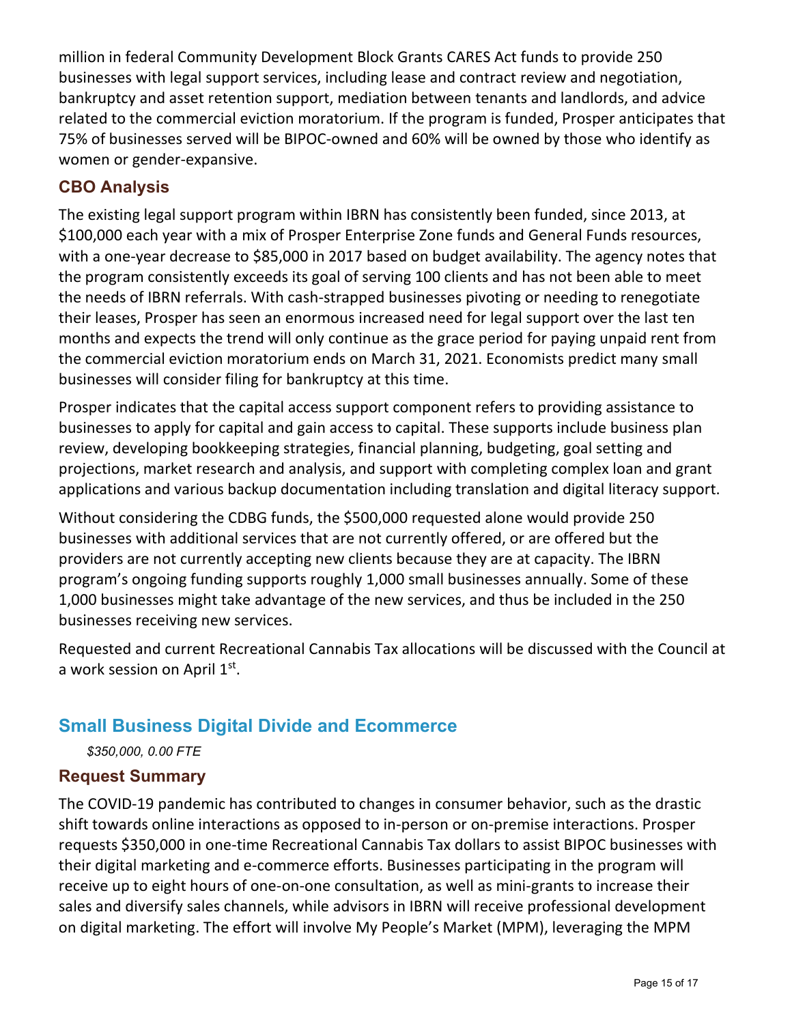million in federal Community Development Block Grants CARES Act funds to provide 250 businesses with legal support services, including lease and contract review and negotiation, bankruptcy and asset retention support, mediation between tenants and landlords, and advice related to the commercial eviction moratorium. If the program is funded, Prosper anticipates that 75% of businesses served will be BIPOC-owned and 60% will be owned by those who identify as women or gender-expansive.

## **CBO Analysis**

The existing legal support program within IBRN has consistently been funded, since 2013, at \$100,000 each year with a mix of Prosper Enterprise Zone funds and General Funds resources, with a one-year decrease to \$85,000 in 2017 based on budget availability. The agency notes that the program consistently exceeds its goal of serving 100 clients and has not been able to meet the needs of IBRN referrals. With cash-strapped businesses pivoting or needing to renegotiate their leases, Prosper has seen an enormous increased need for legal support over the last ten months and expects the trend will only continue as the grace period for paying unpaid rent from the commercial eviction moratorium ends on March 31, 2021. Economists predict many small businesses will consider filing for bankruptcy at this time.

Prosper indicates that the capital access support component refers to providing assistance to businesses to apply for capital and gain access to capital. These supports include business plan review, developing bookkeeping strategies, financial planning, budgeting, goal setting and projections, market research and analysis, and support with completing complex loan and grant applications and various backup documentation including translation and digital literacy support.

Without considering the CDBG funds, the \$500,000 requested alone would provide 250 businesses with additional services that are not currently offered, or are offered but the providers are not currently accepting new clients because they are at capacity. The IBRN program's ongoing funding supports roughly 1,000 small businesses annually. Some of these 1,000 businesses might take advantage of the new services, and thus be included in the 250 businesses receiving new services.

Requested and current Recreational Cannabis Tax allocations will be discussed with the Council at a work session on April 1st.

## **Small Business Digital Divide and Ecommerce**

*\$350,000, 0.00 FTE*

#### **Request Summary**

The COVID-19 pandemic has contributed to changes in consumer behavior, such as the drastic shift towards online interactions as opposed to in-person or on-premise interactions. Prosper requests \$350,000 in one-time Recreational Cannabis Tax dollars to assist BIPOC businesses with their digital marketing and e-commerce efforts. Businesses participating in the program will receive up to eight hours of one-on-one consultation, as well as mini-grants to increase their sales and diversify sales channels, while advisors in IBRN will receive professional development on digital marketing. The effort will involve My People's Market (MPM), leveraging the MPM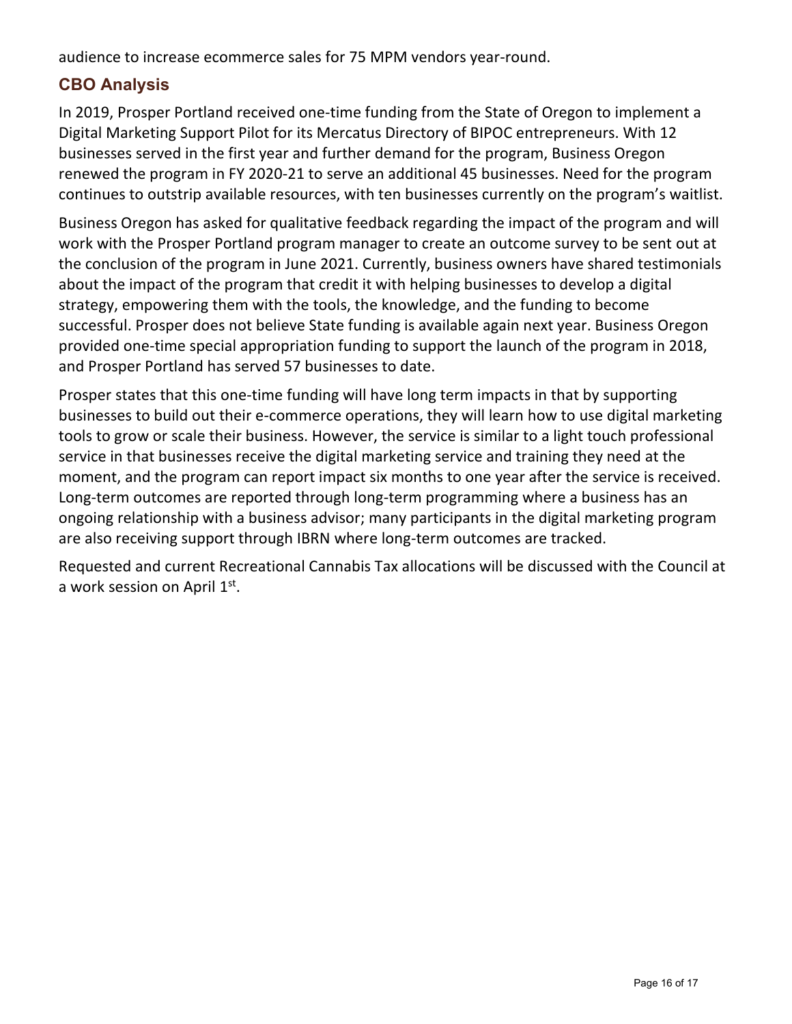audience to increase ecommerce sales for 75 MPM vendors year-round.

## **CBO Analysis**

In 2019, Prosper Portland received one-time funding from the State of Oregon to implement a Digital Marketing Support Pilot for its Mercatus Directory of BIPOC entrepreneurs. With 12 businesses served in the first year and further demand for the program, Business Oregon renewed the program in FY 2020-21 to serve an additional 45 businesses. Need for the program continues to outstrip available resources, with ten businesses currently on the program's waitlist.

Business Oregon has asked for qualitative feedback regarding the impact of the program and will work with the Prosper Portland program manager to create an outcome survey to be sent out at the conclusion of the program in June 2021. Currently, business owners have shared testimonials about the impact of the program that credit it with helping businesses to develop a digital strategy, empowering them with the tools, the knowledge, and the funding to become successful. Prosper does not believe State funding is available again next year. Business Oregon provided one-time special appropriation funding to support the launch of the program in 2018, and Prosper Portland has served 57 businesses to date.

Prosper states that this one-time funding will have long term impacts in that by supporting businesses to build out their e-commerce operations, they will learn how to use digital marketing tools to grow or scale their business. However, the service is similar to a light touch professional service in that businesses receive the digital marketing service and training they need at the moment, and the program can report impact six months to one year after the service is received. Long-term outcomes are reported through long-term programming where a business has an ongoing relationship with a business advisor; many participants in the digital marketing program are also receiving support through IBRN where long-term outcomes are tracked.

Requested and current Recreational Cannabis Tax allocations will be discussed with the Council at a work session on April 1st.